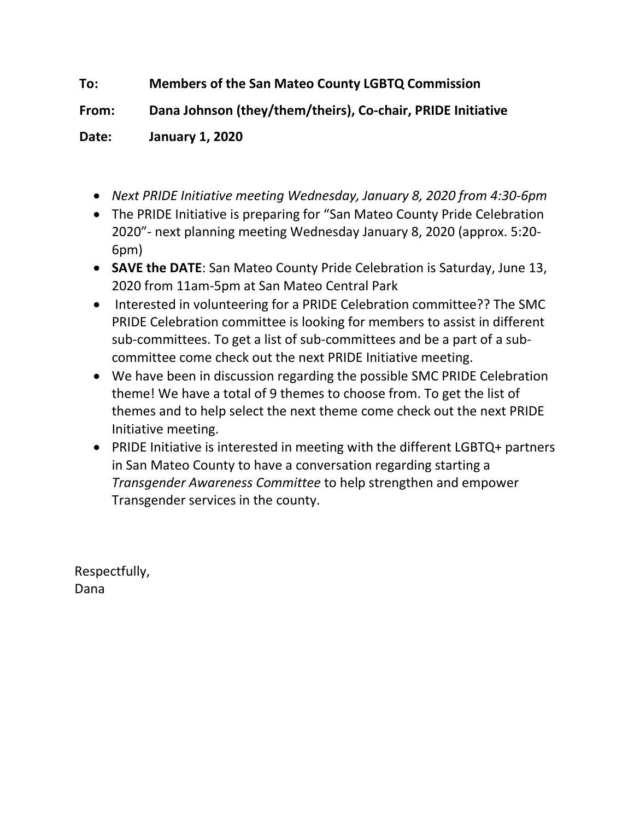## **To: Members of the San Mateo County LGBTQ Commission**

**From: Dana Johnson (they/them/theirs), Co-chair, PRIDE Initiative**

**Date: January 1, 2020**

- *Next PRIDE Initiative meeting Wednesday, January 8, 2020 from 4:30-6pm*
- The PRIDE Initiative is preparing for "San Mateo County Pride Celebration 2020"- next planning meeting Wednesday January 8, 2020 (approx. 5:20- 6pm)
- **SAVE the DATE**: San Mateo County Pride Celebration is Saturday, June 13, 2020 from 11am-5pm at San Mateo Central Park
- Interested in volunteering for a PRIDE Celebration committee?? The SMC PRIDE Celebration committee is looking for members to assist in different sub-committees. To get a list of sub-committees and be a part of a subcommittee come check out the next PRIDE Initiative meeting.
- We have been in discussion regarding the possible SMC PRIDE Celebration theme! We have a total of 9 themes to choose from. To get the list of themes and to help select the next theme come check out the next PRIDE Initiative meeting.
- PRIDE Initiative is interested in meeting with the different LGBTQ+ partners in San Mateo County to have a conversation regarding starting a *Transgender Awareness Committee* to help strengthen and empower Transgender services in the county.

Respectfully, Dana